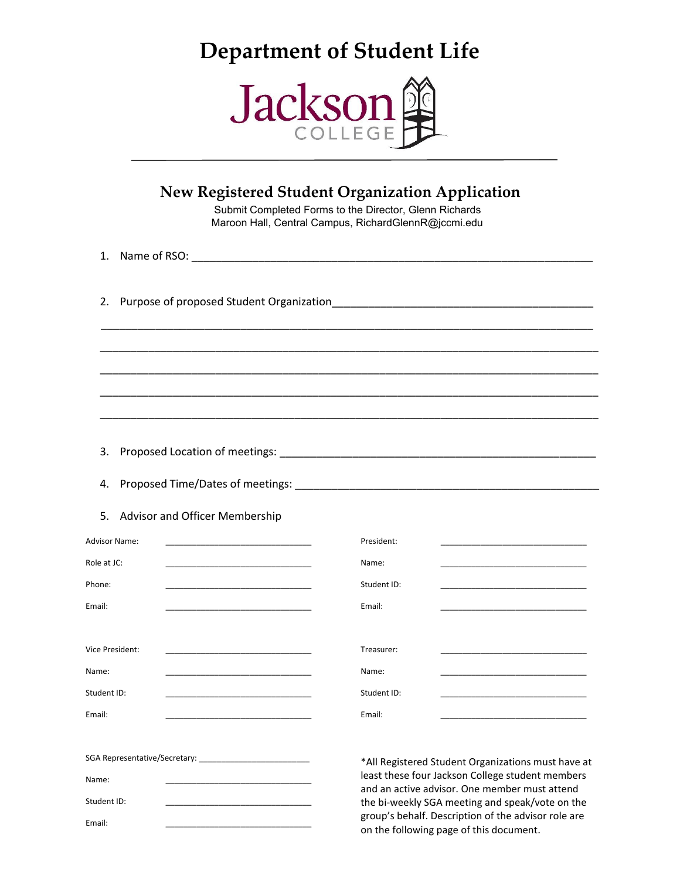# **Department of Student Life**



|                                 |                                                                                                                                                                                                                                                                                          | New Registered Student Organization Application<br>Submit Completed Forms to the Director, Glenn Richards<br>Maroon Hall, Central Campus, RichardGlennR@jccmi.edu                                                                                                 |
|---------------------------------|------------------------------------------------------------------------------------------------------------------------------------------------------------------------------------------------------------------------------------------------------------------------------------------|-------------------------------------------------------------------------------------------------------------------------------------------------------------------------------------------------------------------------------------------------------------------|
| 1.                              |                                                                                                                                                                                                                                                                                          |                                                                                                                                                                                                                                                                   |
| 2.                              |                                                                                                                                                                                                                                                                                          |                                                                                                                                                                                                                                                                   |
|                                 |                                                                                                                                                                                                                                                                                          |                                                                                                                                                                                                                                                                   |
| 3.<br>4.                        |                                                                                                                                                                                                                                                                                          |                                                                                                                                                                                                                                                                   |
| 5.                              | <b>Advisor and Officer Membership</b>                                                                                                                                                                                                                                                    |                                                                                                                                                                                                                                                                   |
| Role at JC:<br>Phone:<br>Email: | Advisor Name:<br><u> 1990 - Johann Barn, mars ann an t-Amhain an t-Amhain an t-Amhain an t-Amhain an t-Amhain an t-Amhain an t-Amh</u><br><u> 1980 - Johann John Stein, mars an de Francisco (f. 1918)</u><br>the control of the control of the control of the control of the control of | President:<br>Name:<br>Student ID:<br>the control of the control of the control of the control of the control of<br>Email:                                                                                                                                        |
| Name:<br>Student ID:<br>Email:  | Vice President:                                                                                                                                                                                                                                                                          | Treasurer:<br>Name:<br>Student ID:<br>Email:                                                                                                                                                                                                                      |
| Name:<br>Student ID:<br>Email:  |                                                                                                                                                                                                                                                                                          | *All Registered Student Organizations must have at<br>least these four Jackson College student members<br>and an active advisor. One member must attend<br>the bi-weekly SGA meeting and speak/vote on the<br>group's behalf. Description of the advisor role are |

on the following page of this document.